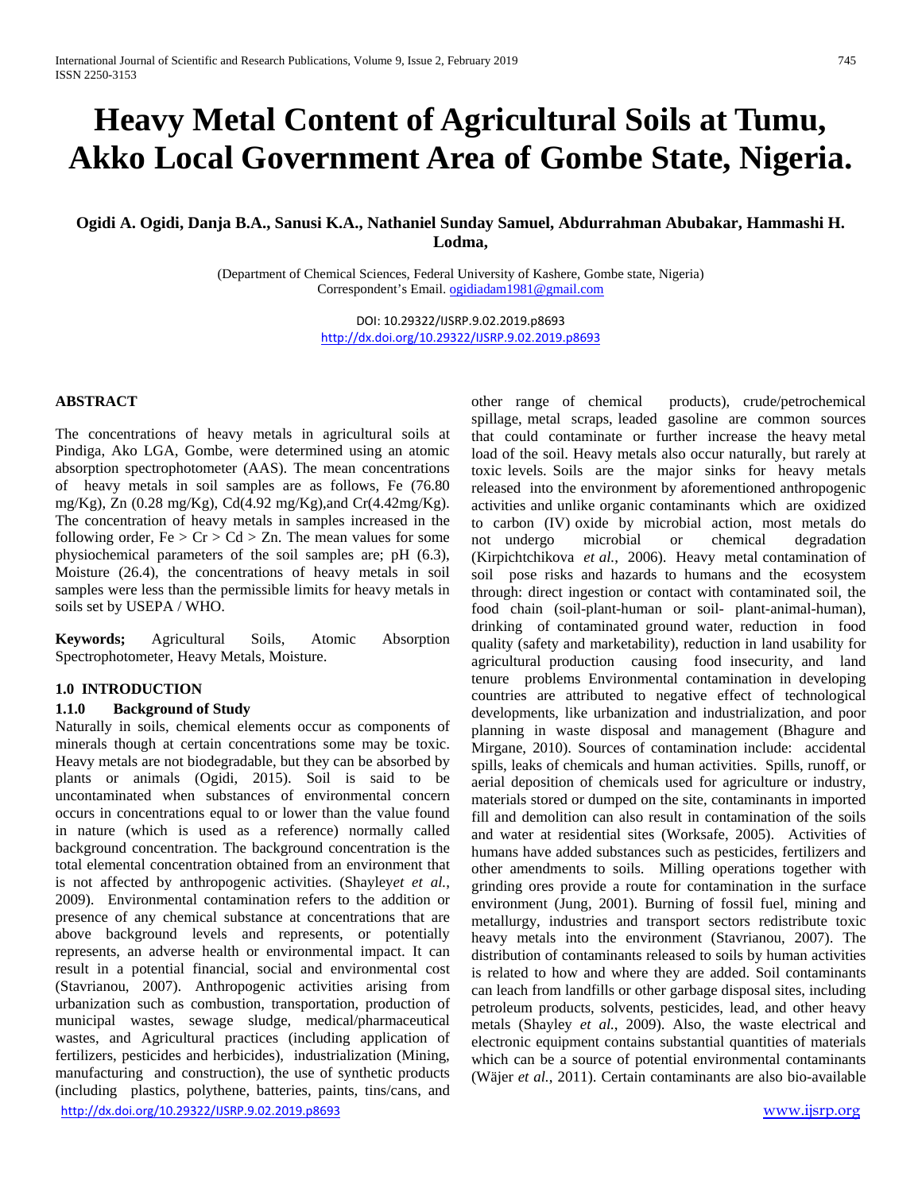# **Heavy Metal Content of Agricultural Soils at Tumu, Akko Local Government Area of Gombe State, Nigeria.**

# **Ogidi A. Ogidi, Danja B.A., Sanusi K.A., Nathaniel Sunday Samuel, Abdurrahman Abubakar, Hammashi H. Lodma,**

(Department of Chemical Sciences, Federal University of Kashere, Gombe state, Nigeria) Correspondent's Email[. ogidiadam1981@gmail.com](mailto:ogidiadam1981@gmail.com)

> DOI: 10.29322/IJSRP.9.02.2019.p8693 <http://dx.doi.org/10.29322/IJSRP.9.02.2019.p8693>

## **ABSTRACT**

The concentrations of heavy metals in agricultural soils at Pindiga, Ako LGA, Gombe, were determined using an atomic absorption spectrophotometer (AAS). The mean concentrations of heavy metals in soil samples are as follows, Fe (76.80 mg/Kg), Zn (0.28 mg/Kg), Cd(4.92 mg/Kg),and Cr(4.42mg/Kg). The concentration of heavy metals in samples increased in the following order,  $Fe > Cr > Cd > Zn$ . The mean values for some physiochemical parameters of the soil samples are; pH (6.3), Moisture (26.4), the concentrations of heavy metals in soil samples were less than the permissible limits for heavy metals in soils set by USEPA / WHO.

**Keywords;** Agricultural Soils, Atomic Absorption Spectrophotometer, Heavy Metals, Moisture.

## **1.0 INTRODUCTION**

### **1.1.0 Background of Study**

<http://dx.doi.org/10.29322/IJSRP.9.02.2019.p8693> [www.ijsrp.org](http://ijsrp.org/) Naturally in soils, chemical elements occur as components of minerals though at certain concentrations some may be toxic. Heavy metals are not biodegradable, but they can be absorbed by plants or animals (Ogidi, 2015). Soil is said to be uncontaminated when substances of environmental concern occurs in concentrations equal to or lower than the value found in nature (which is used as a reference) normally called background concentration. The background concentration is the total elemental concentration obtained from an environment that is not affected by anthropogenic activities. (Shayley*et et al.*, 2009). Environmental contamination refers to the addition or presence of any chemical substance at concentrations that are above background levels and represents, or potentially represents, an adverse health or environmental impact. It can result in a potential financial, social and environmental cost (Stavrianou, 2007). Anthropogenic activities arising from urbanization such as combustion, transportation, production of municipal wastes, sewage sludge, medical/pharmaceutical wastes, and Agricultural practices (including application of fertilizers, pesticides and herbicides), industrialization (Mining, manufacturing and construction), the use of synthetic products (including plastics, polythene, batteries, paints, tins/cans, and

other range of chemical products), crude/petrochemical spillage, metal scraps, leaded gasoline are common sources that could contaminate or further increase the heavy metal load of the soil. Heavy metals also occur naturally, but rarely at toxic levels. Soils are the major sinks for heavy metals released into the environment by aforementioned anthropogenic activities and unlike organic contaminants which are oxidized to carbon (IV) oxide by microbial action, most metals do not undergo microbial or chemical degradation (Kirpichtchikova *et al.*, 2006). Heavy metal contamination of soil pose risks and hazards to humans and the ecosystem through: direct ingestion or contact with contaminated soil, the food chain (soil-plant-human or soil- plant-animal-human), drinking of contaminated ground water, reduction in food quality (safety and marketability), reduction in land usability for agricultural production causing food insecurity, and land tenure problems Environmental contamination in developing countries are attributed to negative effect of technological developments, like urbanization and industrialization, and poor planning in waste disposal and management (Bhagure and Mirgane, 2010). Sources of contamination include: accidental spills, leaks of chemicals and human activities. Spills, runoff, or aerial deposition of chemicals used for agriculture or industry, materials stored or dumped on the site, contaminants in imported fill and demolition can also result in contamination of the soils and water at residential sites (Worksafe, 2005). Activities of humans have added substances such as pesticides, fertilizers and other amendments to soils. Milling operations together with grinding ores provide a route for contamination in the surface environment (Jung, 2001). Burning of fossil fuel, mining and metallurgy, industries and transport sectors redistribute toxic heavy metals into the environment (Stavrianou, 2007). The distribution of contaminants released to soils by human activities is related to how and where they are added. Soil contaminants can leach from landfills or other garbage disposal sites, including petroleum products, solvents, pesticides, lead, and other heavy metals (Shayley *et al.*, 2009). Also, the waste electrical and electronic equipment contains substantial quantities of materials which can be a source of potential environmental contaminants (Wäjer *et al.*, 2011). Certain contaminants are also bio-available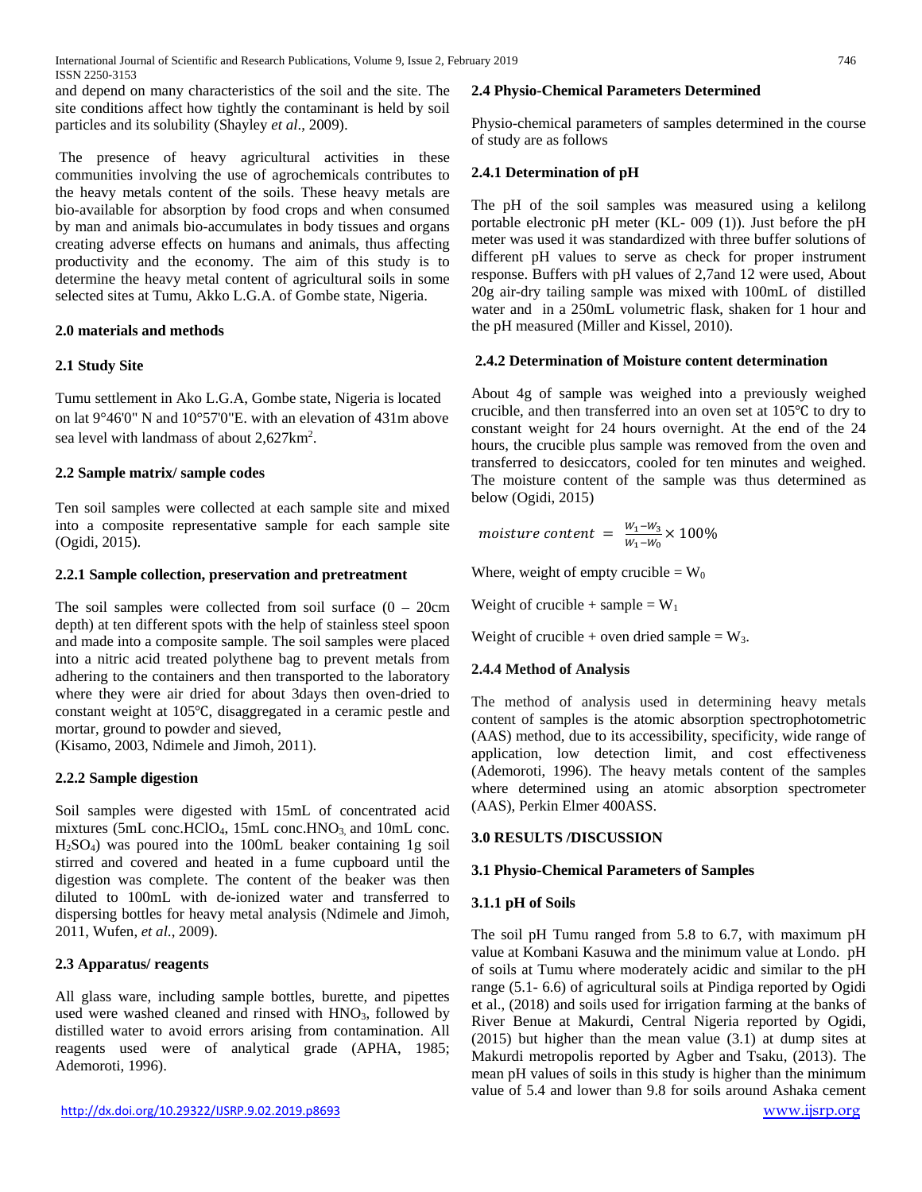and depend on many characteristics of the soil and the site. The site conditions affect how tightly the contaminant is held by soil particles and its solubility (Shayley *et al*., 2009).

The presence of heavy agricultural activities in these communities involving the use of agrochemicals contributes to the heavy metals content of the soils. These heavy metals are bio-available for absorption by food crops and when consumed by man and animals bio-accumulates in body tissues and organs creating adverse effects on humans and animals, thus affecting productivity and the economy. The aim of this study is to determine the heavy metal content of agricultural soils in some selected sites at Tumu, Akko L.G.A. of Gombe state, Nigeria.

# **2.0 materials and methods**

# **2.1 Study Site**

Tumu settlement in Ako L.G.A, Gombe state, Nigeria is located on lat 9°46'0" N and 10°57'0"E. with an elevation of 431m above sea level with landmass of about 2,627km<sup>2</sup>.

# **2.2 Sample matrix/ sample codes**

Ten soil samples were collected at each sample site and mixed into a composite representative sample for each sample site (Ogidi, 2015).

# **2.2.1 Sample collection, preservation and pretreatment**

The soil samples were collected from soil surface  $(0 - 20$ cm depth) at ten different spots with the help of stainless steel spoon and made into a composite sample. The soil samples were placed into a nitric acid treated polythene bag to prevent metals from adhering to the containers and then transported to the laboratory where they were air dried for about 3days then oven-dried to constant weight at 105℃, disaggregated in a ceramic pestle and mortar, ground to powder and sieved,

(Kisamo, 2003, Ndimele and Jimoh*,* 2011).

# **2.2.2 Sample digestion**

Soil samples were digested with 15mL of concentrated acid mixtures (5mL conc.HClO<sub>4</sub>, 15mL conc.HNO<sub>3</sub>, and 10mL conc. H2SO4) was poured into the 100mL beaker containing 1g soil stirred and covered and heated in a fume cupboard until the digestion was complete. The content of the beaker was then diluted to 100mL with de-ionized water and transferred to dispersing bottles for heavy metal analysis (Ndimele and Jimoh*,* 2011, Wufen, *et al*., 2009).

# **2.3 Apparatus/ reagents**

All glass ware, including sample bottles, burette, and pipettes used were washed cleaned and rinsed with  $HNO<sub>3</sub>$ , followed by distilled water to avoid errors arising from contamination. All reagents used were of analytical grade (APHA, 1985; Ademoroti, 1996).

## **2.4 Physio-Chemical Parameters Determined**

Physio-chemical parameters of samples determined in the course of study are as follows

# **2.4.1 Determination of pH**

The pH of the soil samples was measured using a kelilong portable electronic pH meter (KL- 009 (1)). Just before the pH meter was used it was standardized with three buffer solutions of different pH values to serve as check for proper instrument response. Buffers with pH values of 2,7and 12 were used, About 20g air-dry tailing sample was mixed with 100mL of distilled water and in a 250mL volumetric flask, shaken for 1 hour and the pH measured (Miller and Kissel, 2010).

## **2.4.2 Determination of Moisture content determination**

About 4g of sample was weighed into a previously weighed crucible, and then transferred into an oven set at 105℃ to dry to constant weight for 24 hours overnight. At the end of the 24 hours, the crucible plus sample was removed from the oven and transferred to desiccators, cooled for ten minutes and weighed. The moisture content of the sample was thus determined as below (Ogidi, 2015)

moisture content =  $\frac{W_1-W_3}{W_1-W_0} \times 100\%$ 

Where, weight of empty crucible =  $W_0$ 

Weight of crucible + sample =  $W_1$ 

Weight of crucible + oven dried sample =  $W_3$ .

## **2.4.4 Method of Analysis**

The method of analysis used in determining heavy metals content of samples is the atomic absorption spectrophotometric (AAS) method, due to its accessibility, specificity, wide range of application, low detection limit, and cost effectiveness (Ademoroti, 1996). The heavy metals content of the samples where determined using an atomic absorption spectrometer (AAS), Perkin Elmer 400ASS.

## **3.0 RESULTS /DISCUSSION**

## **3.1 Physio-Chemical Parameters of Samples**

## **3.1.1 pH of Soils**

The soil pH Tumu ranged from 5.8 to 6.7, with maximum pH value at Kombani Kasuwa and the minimum value at Londo. pH of soils at Tumu where moderately acidic and similar to the pH range (5.1- 6.6) of agricultural soils at Pindiga reported by Ogidi et al., (2018) and soils used for irrigation farming at the banks of River Benue at Makurdi, Central Nigeria reported by Ogidi, (2015) but higher than the mean value (3.1) at dump sites at Makurdi metropolis reported by Agber and Tsaku, (2013). The mean pH values of soils in this study is higher than the minimum value of 5.4 and lower than 9.8 for soils around Ashaka cement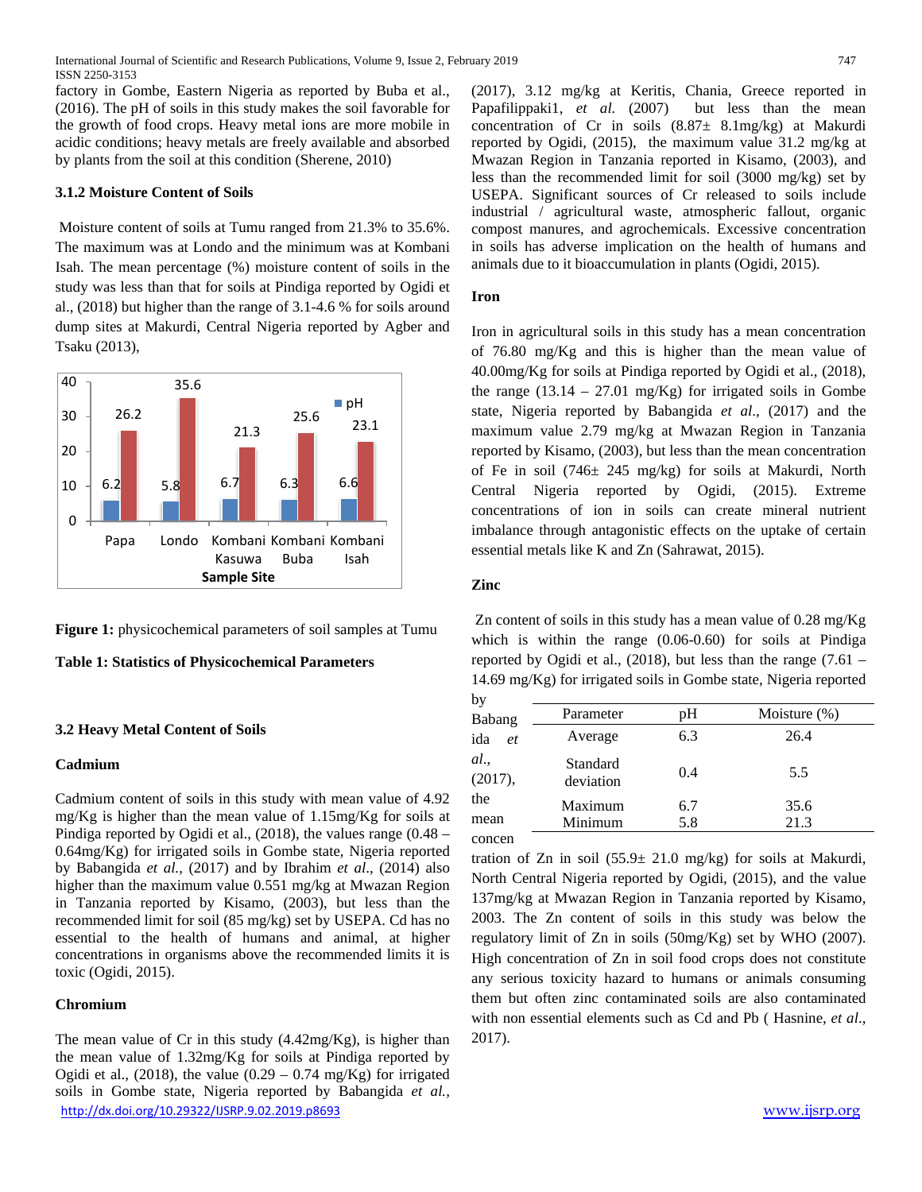International Journal of Scientific and Research Publications, Volume 9, Issue 2, February 2019 747 ISSN 2250-3153

factory in Gombe, Eastern Nigeria as reported by Buba et al., (2016). The pH of soils in this study makes the soil favorable for the growth of food crops. Heavy metal ions are more mobile in acidic conditions; heavy metals are freely available and absorbed by plants from the soil at this condition (Sherene, 2010)

## **3.1.2 Moisture Content of Soils**

Moisture content of soils at Tumu ranged from 21.3% to 35.6%. The maximum was at Londo and the minimum was at Kombani Isah. The mean percentage (%) moisture content of soils in the study was less than that for soils at Pindiga reported by Ogidi et al., (2018) but higher than the range of 3.1-4.6 % for soils around dump sites at Makurdi, Central Nigeria reported by Agber and Tsaku (2013),



**Figure 1:** physicochemical parameters of soil samples at Tumu

#### **Table 1: Statistics of Physicochemical Parameters**

#### **3.2 Heavy Metal Content of Soils**

#### **Cadmium**

Cadmium content of soils in this study with mean value of 4.92 mg/Kg is higher than the mean value of 1.15mg/Kg for soils at Pindiga reported by Ogidi et al., (2018), the values range (0.48 – 0.64mg/Kg) for irrigated soils in Gombe state, Nigeria reported by Babangida *et al.*, (2017) and by Ibrahim *et al*., (2014) also higher than the maximum value 0.551 mg/kg at Mwazan Region in Tanzania reported by Kisamo, (2003), but less than the recommended limit for soil (85 mg/kg) set by USEPA. Cd has no essential to the health of humans and animal, at higher concentrations in organisms above the recommended limits it is toxic (Ogidi, 2015).

#### **Chromium**

<http://dx.doi.org/10.29322/IJSRP.9.02.2019.p8693> [www.ijsrp.org](http://ijsrp.org/) The mean value of Cr in this study  $(4.42mg/Kg)$ , is higher than the mean value of 1.32mg/Kg for soils at Pindiga reported by Ogidi et al., (2018), the value  $(0.29 - 0.74 \text{ mg/Kg})$  for irrigated soils in Gombe state, Nigeria reported by Babangida *et al.,*

(2017), 3.12 mg/kg at Keritis, Chania, Greece reported in Papafilippaki1, *et al.* (2007) but less than the mean concentration of Cr in soils (8.87± 8.1mg/kg) at Makurdi reported by Ogidi, (2015), the maximum value 31.2 mg/kg at Mwazan Region in Tanzania reported in Kisamo, (2003), and less than the recommended limit for soil (3000 mg/kg) set by USEPA. Significant sources of Cr released to soils include industrial / agricultural waste, atmospheric fallout, organic compost manures, and agrochemicals. Excessive concentration in soils has adverse implication on the health of humans and animals due to it bioaccumulation in plants (Ogidi, 2015).

#### **Iron**

Iron in agricultural soils in this study has a mean concentration of 76.80 mg/Kg and this is higher than the mean value of 40.00mg/Kg for soils at Pindiga reported by Ogidi et al., (2018), the range  $(13.14 - 27.01 \text{ mg/Kg})$  for irrigated soils in Gombe state, Nigeria reported by Babangida *et al*., (2017) and the maximum value 2.79 mg/kg at Mwazan Region in Tanzania reported by Kisamo, (2003), but less than the mean concentration of Fe in soil (746± 245 mg/kg) for soils at Makurdi, North Central Nigeria reported by Ogidi, (2015). Extreme concentrations of ion in soils can create mineral nutrient imbalance through antagonistic effects on the uptake of certain essential metals like K and Zn (Sahrawat, 2015).

## **Zinc**

Zn content of soils in this study has a mean value of 0.28 mg/Kg which is within the range (0.06-0.60) for soils at Pindiga reported by Ogidi et al., (2018), but less than the range (7.61 – 14.69 mg/Kg) for irrigated soils in Gombe state, Nigeria reported

| by              |                       |     |                 |  |
|-----------------|-----------------------|-----|-----------------|--|
| Babang          | Parameter             | pН  | Moisture $(\%)$ |  |
| ida<br>et       | Average               | 6.3 | 26.4            |  |
| al.,<br>(2017), | Standard<br>deviation | 0.4 | 5.5             |  |
| the             | Maximum               | 6.7 | 35.6            |  |
| mean            | Minimum               | 5.8 | 21.3            |  |
| concen          |                       |     |                 |  |

tration of Zn in soil  $(55.9 \pm 21.0 \text{ mg/kg})$  for soils at Makurdi, North Central Nigeria reported by Ogidi, (2015), and the value 137mg/kg at Mwazan Region in Tanzania reported by Kisamo, 2003. The Zn content of soils in this study was below the regulatory limit of Zn in soils (50mg/Kg) set by WHO (2007). High concentration of Zn in soil food crops does not constitute any serious toxicity hazard to humans or animals consuming them but often zinc contaminated soils are also contaminated with non essential elements such as Cd and Pb ( Hasnine, *et al*., 2017).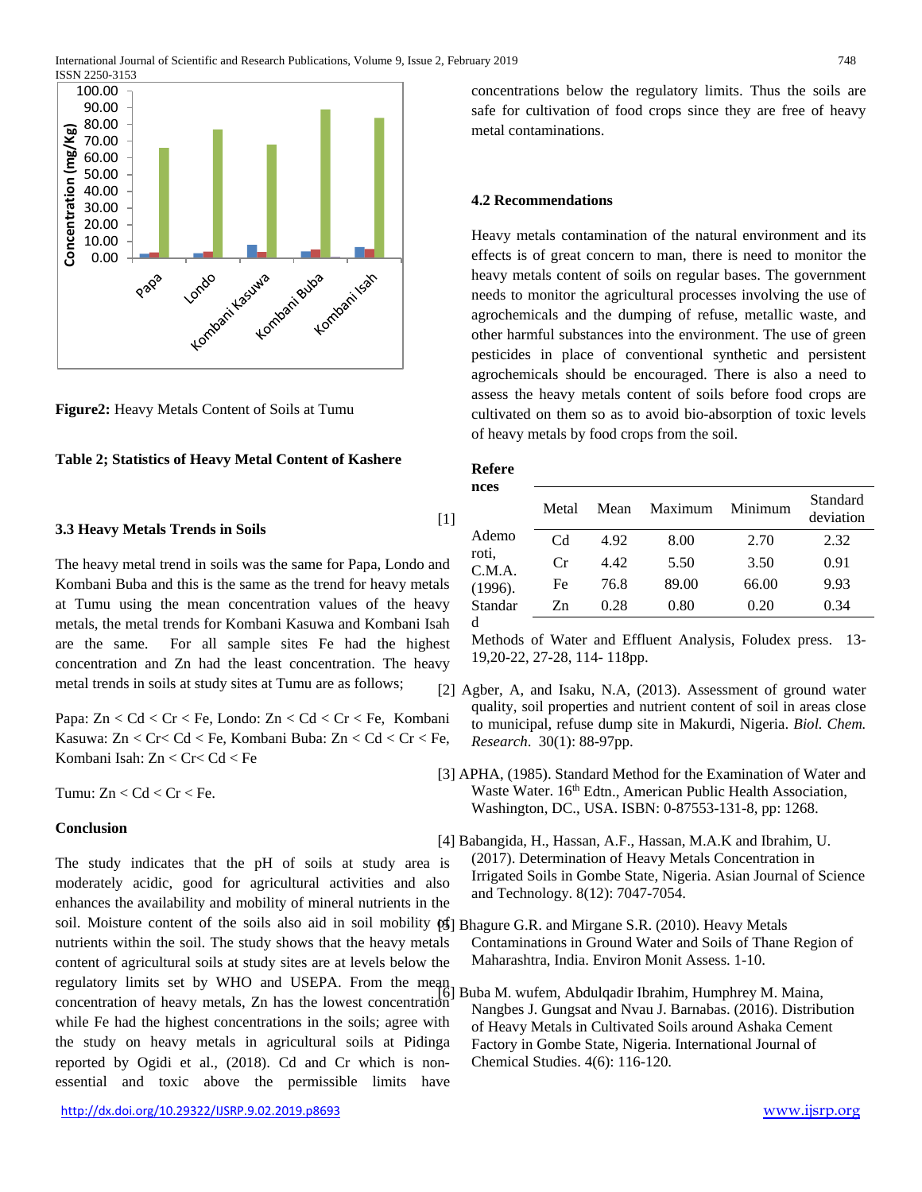

**Figure2:** Heavy Metals Content of Soils at Tumu

#### **Table 2; Statistics of Heavy Metal Content of Kashere**

#### **3.3 Heavy Metals Trends in Soils**

The heavy metal trend in soils was the same for Papa, Londo and Kombani Buba and this is the same as the trend for heavy metals at Tumu using the mean concentration values of the heavy metals, the metal trends for Kombani Kasuwa and Kombani Isah are the same. For all sample sites Fe had the highest concentration and Zn had the least concentration. The heavy metal trends in soils at study sites at Tumu are as follows;

Papa: Zn < Cd < Cr < Fe, Londo: Zn < Cd < Cr < Fe, Kombani Kasuwa: Zn < Cr< Cd < Fe, Kombani Buba: Zn < Cd < Cr < Fe, Kombani Isah: Zn < Cr< Cd < Fe

Tumu:  $Zn < Cd < Cr < Fe$ .

## **Conclusion**

The study indicates that the pH of soils at study area is moderately acidic, good for agricultural activities and also enhances the availability and mobility of mineral nutrients in the soil. Moisture content of the soils also aid in soil mobility [95] Bhagure G.R. and Mirgane S.R. (2010). Heavy Metals nutrients within the soil. The study shows that the heavy metals content of agricultural soils at study sites are at levels below the regulatory limits set by WHO and USEPA. From the mean concentration of heavy metals, Zn has the lowest concentration while Fe had the highest concentrations in the soils; agree with the study on heavy metals in agricultural soils at Pidinga reported by Ogidi et al., (2018). Cd and Cr which is nonessential and toxic above the permissible limits have

concentrations below the regulatory limits. Thus the soils are safe for cultivation of food crops since they are free of heavy metal contaminations.

## **4.2 Recommendations**

Heavy metals contamination of the natural environment and its effects is of great concern to man, there is need to monitor the heavy metals content of soils on regular bases. The government needs to monitor the agricultural processes involving the use of agrochemicals and the dumping of refuse, metallic waste, and other harmful substances into the environment. The use of green pesticides in place of conventional synthetic and persistent agrochemicals should be encouraged. There is also a need to assess the heavy metals content of soils before food crops are cultivated on them so as to avoid bio-absorption of toxic levels of heavy metals by food crops from the soil.

#### **Refere nces**

[1]

| псеэ            | Metal | Mean | Maximum | Minimum | Standard<br>deviation |
|-----------------|-------|------|---------|---------|-----------------------|
| Ademo           | Cd    | 4.92 | 8.00    | 2.70    | 2.32                  |
| roti.<br>C.M.A. | Cr    | 4.42 | 5.50    | 3.50    | 0.91                  |
| (1996).         | Fe    | 76.8 | 89.00   | 66.00   | 9.93                  |
| Standar         | Zn    | 0.28 | 0.80    | 0.20    | 0.34                  |
| d               |       |      |         |         |                       |

Methods of Water and Effluent Analysis, Foludex press. 13- 19,20-22, 27-28, 114- 118pp.

- [2] Agber, A, and Isaku, N.A, (2013). Assessment of ground water quality, soil properties and nutrient content of soil in areas close to municipal, refuse dump site in Makurdi, Nigeria. *Biol. Chem. Research*. 30(1): 88-97pp.
- [3] APHA, (1985). Standard Method for the Examination of Water and Waste Water. 16<sup>th</sup> Edtn., American Public Health Association, Washington, DC., USA. ISBN: 0-87553-131-8, pp: 1268.
- [4] Babangida, H., Hassan, A.F., Hassan, M.A.K and Ibrahim, U. (2017). Determination of Heavy Metals Concentration in Irrigated Soils in Gombe State, Nigeria. Asian Journal of Science and Technology. 8(12): 7047-7054.
	- Contaminations in Ground Water and Soils of Thane Region of Maharashtra, India. Environ Monit Assess. 1-10.
	- [6] Buba M. wufem, Abdulqadir Ibrahim, Humphrey M. Maina, Nangbes J. Gungsat and Nvau J. Barnabas. (2016). Distribution of Heavy Metals in Cultivated Soils around Ashaka Cement Factory in Gombe State, Nigeria. International Journal of Chemical Studies. 4(6): 116-120.